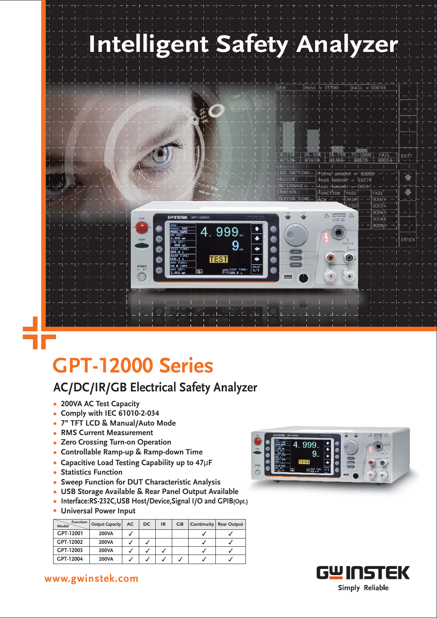

4.999.

**TEST** 

 $9<sub>1</sub>$ 

**EST TI** 

dace

 $15500$ 

FAIL

 $\triangle$ 

 $\circledcirc$ 

 $0008$ 

exah

Ŧ.

-SI

 $\overline{\text{N}}$ né



## **GPT-12000 Series**

## **AC/DC/IR/GB Electrical Safety Analyzer**

- **200VA AC Test Capacity**
- **Comply with IEC 61010-2-034**
- **7" TFT LCD & Manual/Auto Mode**
- **RMS Current Measurement**
- **Zero Crossing Turn-on Operation**
- **Controllable Ramp-up & Ramp-down Time**
- **Capacitive Load Testing Capability up to 47**µF
- **Statistics Function**
- **Sweep Function for DUT Characteristic Analysis**
- **USB Storage Available & Rear Panel Output Available**
- **Interface:RS-232C,USB Host/Device,Signal I/O and GPIB(Opt.)**
- **Universal Power Input**

| <b>Function</b><br>Model | <b>Output Capacity</b> | AC | <b>DC</b> | <b>IR</b> | GB | Continuity   Rear Output |
|--------------------------|------------------------|----|-----------|-----------|----|--------------------------|
| GPT-12001                | <b>200VA</b>           |    |           |           |    |                          |
| GPT-12002                | 200VA                  |    |           |           |    |                          |
| GPT-12003                | 200VA                  |    |           |           |    |                          |
| GPT-12004                | <b>200VA</b>           |    |           |           |    |                          |





www.gwinstek.com